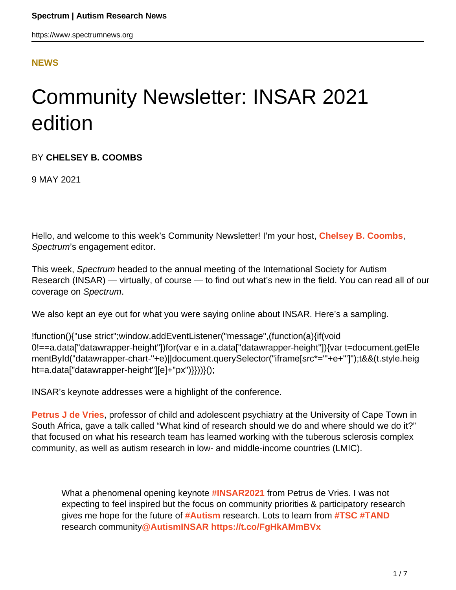## **[NEWS](HTTPS://WWW.SPECTRUMNEWS.ORG/NEWS/)**

## Community Newsletter: INSAR 2021 edition

## BY **CHELSEY B. COOMBS**

9 MAY 2021

Hello, and welcome to this week's Community Newsletter! I'm your host, **[Chelsey B. Coombs](http://twitter.com/chelseybcoombs)**, Spectrum's engagement editor.

This week, Spectrum headed to the annual meeting of the International Society for Autism Research (INSAR) — virtually, of course — to find out what's new in the field. You can read all of our coverage on Spectrum.

We also kept an eye out for what you were saying online about INSAR. Here's a sampling.

!function(){"use strict";window.addEventListener("message",(function(a){if(void 0!==a.data["datawrapper-height"])for(var e in a.data["datawrapper-height"]){var t=document.getEle mentById("datawrapper-chart-"+e)||document.querySelector("iframe[src\*='"+e+"']");t&&(t.style.heig ht=a.data["datawrapper-height"][e]+"px")}}))}();

INSAR's keynote addresses were a highlight of the conference.

**[Petrus J de Vries](http://www.cara.uct.ac.za/petrus-de-vries)**, professor of child and adolescent psychiatry at the University of Cape Town in South Africa, gave a talk called "What kind of research should we do and where should we do it?" that focused on what his research team has learned working with the tuberous sclerosis complex community, as well as autism research in low- and middle-income countries (LMIC).

What a phenomenal opening keynote **[#INSAR2021](https://twitter.com/hashtag/INSAR2021?src=hash&ref_src=twsrc%5Etfw)** from Petrus de Vries. I was not expecting to feel inspired but the focus on community priorities & participatory research gives me hope for the future of **[#Autism](https://twitter.com/hashtag/Autism?src=hash&ref_src=twsrc%5Etfw)** research. Lots to learn from **[#TSC](https://twitter.com/hashtag/TSC?src=hash&ref_src=twsrc%5Etfw) [#TAND](https://twitter.com/hashtag/TAND?src=hash&ref_src=twsrc%5Etfw)** research community**[@AutismINSAR](https://twitter.com/AutismINSAR?ref_src=twsrc%5Etfw) <https://t.co/FgHkAMmBVx>**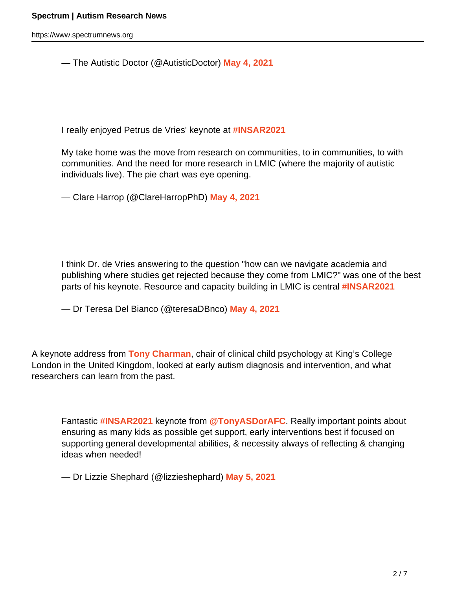https://www.spectrumnews.org

— The Autistic Doctor (@AutisticDoctor) **[May 4, 2021](https://twitter.com/AutisticDoctor/status/1389608995019702274?ref_src=twsrc%5Etfw)**

I really enjoyed Petrus de Vries' keynote at **[#INSAR2021](https://twitter.com/hashtag/INSAR2021?src=hash&ref_src=twsrc%5Etfw)**

My take home was the move from research on communities, to in communities, to with communities. And the need for more research in LMIC (where the majority of autistic individuals live). The pie chart was eye opening.

— Clare Harrop (@ClareHarropPhD) **[May 4, 2021](https://twitter.com/ClareHarropPhD/status/1389588438211567620?ref_src=twsrc%5Etfw)**

I think Dr. de Vries answering to the question "how can we navigate academia and publishing where studies get rejected because they come from LMIC?" was one of the best parts of his keynote. Resource and capacity building in LMIC is central **[#INSAR2021](https://twitter.com/hashtag/INSAR2021?src=hash&ref_src=twsrc%5Etfw)**

— Dr Teresa Del Bianco (@teresaDBnco) **[May 4, 2021](https://twitter.com/teresaDBnco/status/1389593550904602624?ref_src=twsrc%5Etfw)**

A keynote address from **[Tony Charman](https://twitter.com/TonyASDorAFC)**, chair of clinical child psychology at King's College London in the United Kingdom, looked at early autism diagnosis and intervention, and what researchers can learn from the past.

Fantastic **[#INSAR2021](https://twitter.com/hashtag/INSAR2021?src=hash&ref_src=twsrc%5Etfw)** keynote from **[@TonyASDorAFC](https://twitter.com/TonyASDorAFC?ref_src=twsrc%5Etfw)**. Really important points about ensuring as many kids as possible get support, early interventions best if focused on supporting general developmental abilities, & necessity always of reflecting & changing ideas when needed!

— Dr Lizzie Shephard (@lizzieshephard) **[May 5, 2021](https://twitter.com/lizzieshephard/status/1389961543815684099?ref_src=twsrc%5Etfw)**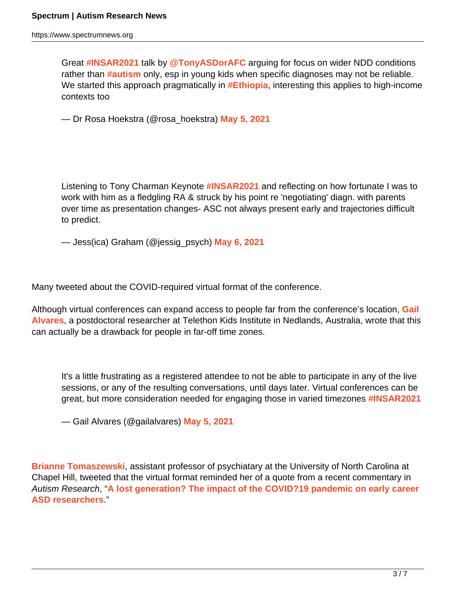Great **[#INSAR2021](https://twitter.com/hashtag/INSAR2021?src=hash&ref_src=twsrc%5Etfw)** talk by **[@TonyASDorAFC](https://twitter.com/TonyASDorAFC?ref_src=twsrc%5Etfw)** arguing for focus on wider NDD conditions rather than **[#autism](https://twitter.com/hashtag/autism?src=hash&ref_src=twsrc%5Etfw)** only, esp in young kids when specific diagnoses may not be reliable. We started this approach pragmatically in **[#Ethiopia](https://twitter.com/hashtag/Ethiopia?src=hash&ref_src=twsrc%5Etfw)**, interesting this applies to high-income contexts too

— Dr Rosa Hoekstra (@rosa\_hoekstra) **[May 5, 2021](https://twitter.com/rosa_hoekstra/status/1389959241839038464?ref_src=twsrc%5Etfw)**

Listening to Tony Charman Keynote **[#INSAR2021](https://twitter.com/hashtag/INSAR2021?src=hash&ref_src=twsrc%5Etfw)** and reflecting on how fortunate I was to work with him as a fledgling RA & struck by his point re 'negotiating' diagn. with parents over time as presentation changes- ASC not always present early and trajectories difficult to predict.

— Jess(ica) Graham (@jessig\_psych) **[May 6, 2021](https://twitter.com/jessig_psych/status/1390271256939876357?ref_src=twsrc%5Etfw)**

Many tweeted about the COVID-required virtual format of the conference.

Although virtual conferences can expand access to people far from the conference's location, **[Gail](https://twitter.com/gailalvares/) [Alvares](https://twitter.com/gailalvares/)**, a postdoctoral researcher at Telethon Kids Institute in Nedlands, Australia, wrote that this can actually be a drawback for people in far-off time zones.

It's a little frustrating as a registered attendee to not be able to participate in any of the live sessions, or any of the resulting conversations, until days later. Virtual conferences can be great, but more consideration needed for engaging those in varied timezones **[#INSAR2021](https://twitter.com/hashtag/INSAR2021?src=hash&ref_src=twsrc%5Etfw)**

— Gail Alvares (@gailalvares) **[May 5, 2021](https://twitter.com/gailalvares/status/1389747103853805570?ref_src=twsrc%5Etfw)**

**[Brianne Tomaszewski](https://twitter.com/britomaszewski/)**, assistant professor of psychiatary at the University of North Carolina at Chapel Hill, tweeted that the virtual format reminded her of a quote from a recent commentary in Autism Research, "**[A lost generation? The impact of the COVID?19 pandemic on early career](https://doi.org/10.1002/aur.2503) [ASD researchers](https://doi.org/10.1002/aur.2503)**."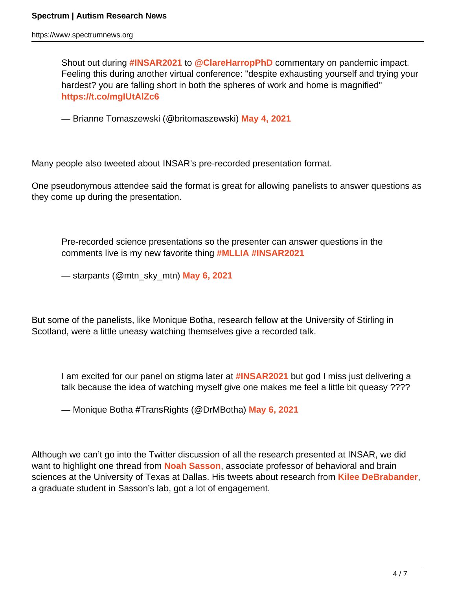Shout out during **[#INSAR2021](https://twitter.com/hashtag/INSAR2021?src=hash&ref_src=twsrc%5Etfw)** to **[@ClareHarropPhD](https://twitter.com/ClareHarropPhD?ref_src=twsrc%5Etfw)** commentary on pandemic impact. Feeling this during another virtual conference: "despite exhausting yourself and trying your hardest? you are falling short in both the spheres of work and home is magnified" **<https://t.co/mgIUtAlZc6>**

— Brianne Tomaszewski (@britomaszewski) **[May 4, 2021](https://twitter.com/britomaszewski/status/1389574036435308545?ref_src=twsrc%5Etfw)**

Many people also tweeted about INSAR's pre-recorded presentation format.

One pseudonymous attendee said the format is great for allowing panelists to answer questions as they come up during the presentation.

Pre-recorded science presentations so the presenter can answer questions in the comments live is my new favorite thing **[#MLLIA](https://twitter.com/hashtag/MLLIA?src=hash&ref_src=twsrc%5Etfw) [#INSAR2021](https://twitter.com/hashtag/INSAR2021?src=hash&ref_src=twsrc%5Etfw)**

— starpants (@mtn\_sky\_mtn) **[May 6, 2021](https://twitter.com/mtn_sky_mtn/status/1390122345545617412?ref_src=twsrc%5Etfw)**

But some of the panelists, like Monique Botha, research fellow at the University of Stirling in Scotland, were a little uneasy watching themselves give a recorded talk.

I am excited for our panel on stigma later at **[#INSAR2021](https://twitter.com/hashtag/INSAR2021?src=hash&ref_src=twsrc%5Etfw)** but god I miss just delivering a talk because the idea of watching myself give one makes me feel a little bit queasy ????

— Monique Botha #TransRights (@DrMBotha) **[May 6, 2021](https://twitter.com/DrMBotha/status/1390198462168326145?ref_src=twsrc%5Etfw)**

Although we can't go into the Twitter discussion of all the research presented at INSAR, we did want to highlight one thread from **[Noah Sasson](https://twitter.com/Noahsasson/)**, associate professor of behavioral and brain sciences at the University of Texas at Dallas. His tweets about research from **[Kilee DeBrabander](https://twitter.com/kmdebrabander)**, a graduate student in Sasson's lab, got a lot of engagement.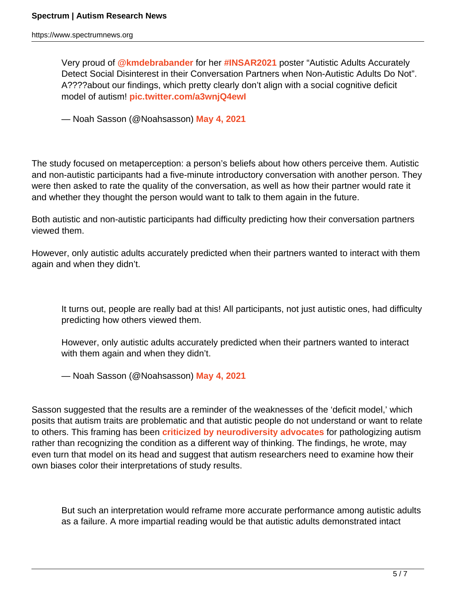https://www.spectrumnews.org

Very proud of **[@kmdebrabander](https://twitter.com/kmdebrabander?ref_src=twsrc%5Etfw)** for her **[#INSAR2021](https://twitter.com/hashtag/INSAR2021?src=hash&ref_src=twsrc%5Etfw)** poster "Autistic Adults Accurately Detect Social Disinterest in their Conversation Partners when Non-Autistic Adults Do Not". A????about our findings, which pretty clearly don't align with a social cognitive deficit model of autism! **[pic.twitter.com/a3wnjQ4ewI](https://t.co/a3wnjQ4ewI)**

— Noah Sasson (@Noahsasson) **[May 4, 2021](https://twitter.com/Noahsasson/status/1389632704954703874?ref_src=twsrc%5Etfw)**

The study focused on metaperception: a person's beliefs about how others perceive them. Autistic and non-autistic participants had a five-minute introductory conversation with another person. They were then asked to rate the quality of the conversation, as well as how their partner would rate it and whether they thought the person would want to talk to them again in the future.

Both autistic and non-autistic participants had difficulty predicting how their conversation partners viewed them.

However, only autistic adults accurately predicted when their partners wanted to interact with them again and when they didn't.

It turns out, people are really bad at this! All participants, not just autistic ones, had difficulty predicting how others viewed them.

However, only autistic adults accurately predicted when their partners wanted to interact with them again and when they didn't.

— Noah Sasson (@Noahsasson) **[May 4, 2021](https://twitter.com/Noahsasson/status/1389632708851249158?ref_src=twsrc%5Etfw)**

Sasson suggested that the results are a reminder of the weaknesses of the 'deficit model,' which posits that autism traits are problematic and that autistic people do not understand or want to relate to others. This framing has been **[criticized by neurodiversity advocates](https://researchportal.port.ac.uk/portal/en/publications/how-social-deficit-models-exacerbate-the-medical-model(b5d0e15a-f304-4e86-bd4e-97a6b3064ecc).html)** for pathologizing autism rather than recognizing the condition as a different way of thinking. The findings, he wrote, may even turn that model on its head and suggest that autism researchers need to examine how their own biases color their interpretations of study results.

But such an interpretation would reframe more accurate performance among autistic adults as a failure. A more impartial reading would be that autistic adults demonstrated intact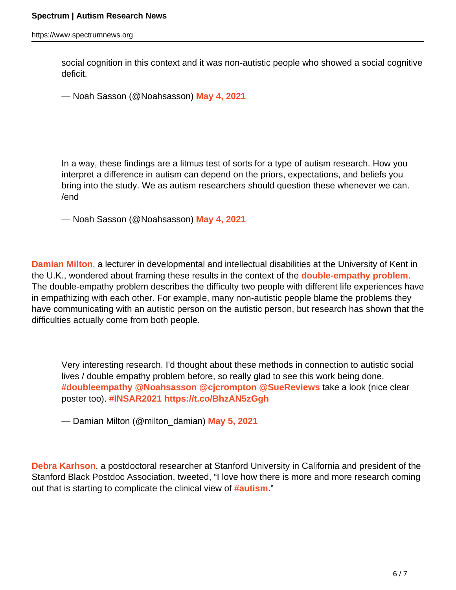https://www.spectrumnews.org

social cognition in this context and it was non-autistic people who showed a social cognitive deficit.

— Noah Sasson (@Noahsasson) **[May 4, 2021](https://twitter.com/Noahsasson/status/1389632712911331335?ref_src=twsrc%5Etfw)**

In a way, these findings are a litmus test of sorts for a type of autism research. How you interpret a difference in autism can depend on the priors, expectations, and beliefs you bring into the study. We as autism researchers should question these whenever we can. /end

— Noah Sasson (@Noahsasson) **[May 4, 2021](https://twitter.com/Noahsasson/status/1389632713808830469?ref_src=twsrc%5Etfw)**

**[Damian Milton](https://twitter.com/milton_damian/)**, a lecturer in developmental and intellectual disabilities at the University of Kent in the U.K., wondered about framing these results in the context of the **[double-empathy problem](https://www.spectrumnews.org/news/community-newsletter-a-double-dose-of-double-empathy-studies/)**. The double-empathy problem describes the difficulty two people with different life experiences have in empathizing with each other. For example, many non-autistic people blame the problems they have communicating with an autistic person on the autistic person, but research has shown that the difficulties actually come from both people.

Very interesting research. I'd thought about these methods in connection to autistic social lives / double empathy problem before, so really glad to see this work being done. **[#doubleempathy](https://twitter.com/hashtag/doubleempathy?src=hash&ref_src=twsrc%5Etfw) [@Noahsasson](https://twitter.com/Noahsasson?ref_src=twsrc%5Etfw) [@cjcrompton](https://twitter.com/cjcrompton?ref_src=twsrc%5Etfw) [@SueReviews](https://twitter.com/SueReviews?ref_src=twsrc%5Etfw)** take a look (nice clear poster too). **[#INSAR2021](https://twitter.com/hashtag/INSAR2021?src=hash&ref_src=twsrc%5Etfw) <https://t.co/BhzAN5zGgh>**

— Damian Milton (@milton\_damian) **[May 5, 2021](https://twitter.com/milton_damian/status/1389910440000557057?ref_src=twsrc%5Etfw)**

**[Debra Karhson](https://twitter.com/drdebah)**, a postdoctoral researcher at Stanford University in California and president of the Stanford Black Postdoc Association, tweeted, "I love how there is more and more research coming out that is starting to complicate the clinical view of **[#autism](https://twitter.com/hashtag/autism?src=hashtag_click)**."